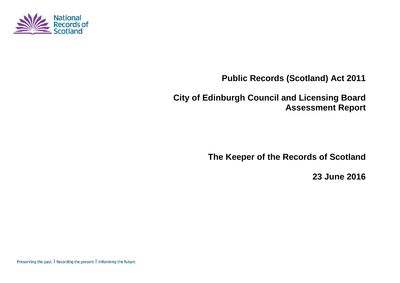

**Public Records (Scotland) Act 2011**

**City of Edinburgh Council and Licensing Board Assessment Report**

**The Keeper of the Records of Scotland**

**23 June 2016**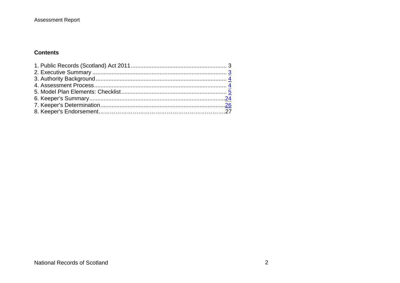## **Contents**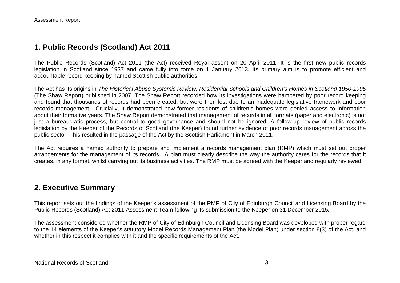# **1. Public Records (Scotland) Act 2011**

The Public Records (Scotland) Act 2011 (the Act) received Royal assent on 20 April 2011. It is the first new public records legislation in Scotland since 1937 and came fully into force on 1 January 2013. Its primary aim is to promote efficient and accountable record keeping by named Scottish public authorities.

The Act has its origins in *The Historical Abuse Systemic Review: Residential Schools and Children's Homes in Scotland 1950-1995* (The Shaw Report) published in 2007. The Shaw Report recorded how its investigations were hampered by poor record keeping and found that thousands of records had been created, but were then lost due to an inadequate legislative framework and poor records management. Crucially, it demonstrated how former residents of children's homes were denied access to information about their formative years. The Shaw Report demonstrated that management of records in all formats (paper and electronic) is not just a bureaucratic process, but central to good governance and should not be ignored. A follow-up review of public records legislation by the Keeper of the Records of Scotland (the Keeper) found further evidence of poor records management across the public sector. This resulted in the passage of the Act by the Scottish Parliament in March 2011.

The Act requires a named authority to prepare and implement a records management plan (RMP) which must set out proper arrangements for the management of its records. A plan must clearly describe the way the authority cares for the records that it creates, in any format, whilst carrying out its business activities. The RMP must be agreed with the Keeper and regularly reviewed.

# **2. Executive Summary**

This report sets out the findings of the Keeper's assessment of the RMP of City of Edinburgh Council and Licensing Board by the Public Records (Scotland) Act 2011 Assessment Team following its submission to the Keeper on 31 December 2015*.*

The assessment considered whether the RMP of City of Edinburgh Council and Licensing Board was developed with proper regard to the 14 elements of the Keeper's statutory Model Records Management Plan (the Model Plan) under section 8(3) of the Act, and whether in this respect it complies with it and the specific requirements of the Act.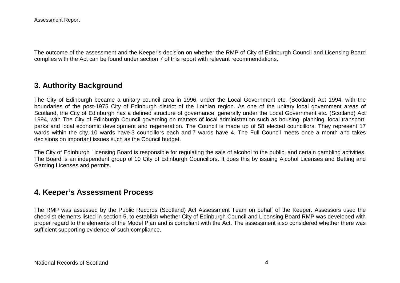The outcome of the assessment and the Keeper's decision on whether the RMP of City of Edinburgh Council and Licensing Board complies with the Act can be found under section 7 of this report with relevant recommendations.

# **3. Authority Background**

The City of Edinburgh became a unitary council area in 1996, under the Local Government etc. (Scotland) Act 1994, with the boundaries of the post-1975 City of Edinburgh district of the Lothian region. As one of the unitary local government areas of Scotland, the City of Edinburgh has a defined structure of governance, generally under the Local Government etc. (Scotland) Act 1994, with The City of Edinburgh Council governing on matters of local administration such as housing, planning, local transport, parks and local economic development and regeneration. The Council is made up of 58 elected councillors. They represent 17 wards within the city. 10 wards have 3 councillors each and 7 wards have 4. The Full Council meets once a month and takes decisions on important issues such as the Council budget.

The City of Edinburgh Licensing Board is responsible for regulating the sale of alcohol to the public, and certain gambling activities. The Board is an independent group of 10 City of Edinburgh Councillors. It does this by issuing Alcohol Licenses and Betting and Gaming Licenses and permits.

## **4. Keeper's Assessment Process**

The RMP was assessed by the Public Records (Scotland) Act Assessment Team on behalf of the Keeper. Assessors used the checklist elements listed in section 5, to establish whether City of Edinburgh Council and Licensing Board RMP was developed with proper regard to the elements of the Model Plan and is compliant with the Act. The assessment also considered whether there was sufficient supporting evidence of such compliance.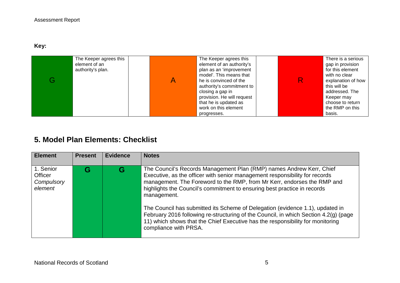**Key:** 

| The Keeper agrees this<br>element of an<br>authority's plan. | The Keeper agrees this<br>element of an authority's<br>plan as an 'improvement<br>model'. This means that<br>he is convinced of the<br>authority's commitment to<br>closing a gap in<br>provision. He will request<br>that he is updated as<br>work on this element | R. | There is a serious<br>gap in provision<br>for this element<br>with no clear<br>explanation of how<br>this will be<br>addressed. The<br>Keeper may<br>choose to return<br>the RMP on this |
|--------------------------------------------------------------|---------------------------------------------------------------------------------------------------------------------------------------------------------------------------------------------------------------------------------------------------------------------|----|------------------------------------------------------------------------------------------------------------------------------------------------------------------------------------------|
|                                                              | progresses.                                                                                                                                                                                                                                                         |    | basis.                                                                                                                                                                                   |

# **5. Model Plan Elements: Checklist**

| <b>Element</b>                                | <b>Present</b> | <b>Evidence</b> | <b>Notes</b>                                                                                                                                                                                                                                                                                                                                                                                                                                                                                                                                                                                                  |
|-----------------------------------------------|----------------|-----------------|---------------------------------------------------------------------------------------------------------------------------------------------------------------------------------------------------------------------------------------------------------------------------------------------------------------------------------------------------------------------------------------------------------------------------------------------------------------------------------------------------------------------------------------------------------------------------------------------------------------|
| 1. Senior<br>Officer<br>Compulsory<br>element | G              | G               | The Council's Records Management Plan (RMP) names Andrew Kerr, Chief<br>Executive, as the officer with senior management responsibility for records<br>management. The Foreword to the RMP, from Mr Kerr, endorses the RMP and<br>highlights the Council's commitment to ensuring best practice in records<br>management.<br>The Council has submitted its Scheme of Delegation (evidence 1.1), updated in<br>February 2016 following re-structuring of the Council, in which Section 4.2(q) (page<br>11) which shows that the Chief Executive has the responsibility for monitoring<br>compliance with PRSA. |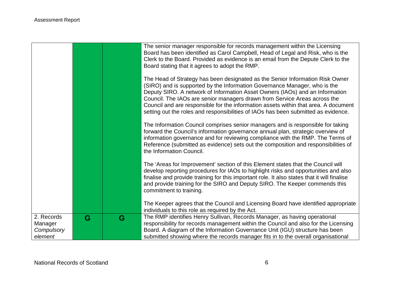|                       |   |   | The senior manager responsible for records management within the Licensing<br>Board has been identified as Carol Campbell, Head of Legal and Risk, who is the<br>Clerk to the Board. Provided as evidence is an email from the Depute Clerk to the<br>Board stating that it agrees to adopt the RMP.<br>The Head of Strategy has been designated as the Senior Information Risk Owner<br>(SIRO) and is supported by the Information Governance Manager, who is the<br>Deputy SIRO. A network of Information Asset Owners (IAOs) and an Information<br>Council. The IAOs are senior managers drawn from Service Areas across the<br>Council and are responsible for the information assets within that area. A document<br>setting out the roles and responsibilities of IAOs has been submitted as evidence.<br>The Information Council comprises senior managers and is responsible for taking<br>forward the Council's information governance annual plan, strategic overview of<br>information governance and for reviewing compliance with the RMP. The Terms of<br>Reference (submitted as evidence) sets out the composition and responsibilities of<br>the Information Council. |
|-----------------------|---|---|----------------------------------------------------------------------------------------------------------------------------------------------------------------------------------------------------------------------------------------------------------------------------------------------------------------------------------------------------------------------------------------------------------------------------------------------------------------------------------------------------------------------------------------------------------------------------------------------------------------------------------------------------------------------------------------------------------------------------------------------------------------------------------------------------------------------------------------------------------------------------------------------------------------------------------------------------------------------------------------------------------------------------------------------------------------------------------------------------------------------------------------------------------------------------------------|
|                       |   |   | The 'Areas for Improvement' section of this Element states that the Council will<br>develop reporting procedures for IAOs to highlight risks and opportunities and also<br>finalise and provide training for this important role. It also states that it will finalise<br>and provide training for the SIRO and Deputy SIRO. The Keeper commends this<br>commitment to training.                                                                                                                                                                                                                                                                                                                                                                                                                                                                                                                                                                                                                                                                                                                                                                                                       |
|                       |   |   | The Keeper agrees that the Council and Licensing Board have identified appropriate<br>individuals to this role as required by the Act.                                                                                                                                                                                                                                                                                                                                                                                                                                                                                                                                                                                                                                                                                                                                                                                                                                                                                                                                                                                                                                                 |
| 2. Records<br>Manager | G | G | The RMP identifies Henry Sullivan, Records Manager, as having operational<br>responsibility for records management within the Council and also for the Licensing                                                                                                                                                                                                                                                                                                                                                                                                                                                                                                                                                                                                                                                                                                                                                                                                                                                                                                                                                                                                                       |
| Compulsory            |   |   | Board. A diagram of the Information Governance Unit (IGU) structure has been                                                                                                                                                                                                                                                                                                                                                                                                                                                                                                                                                                                                                                                                                                                                                                                                                                                                                                                                                                                                                                                                                                           |
| element               |   |   | submitted showing where the records manager fits in to the overall organisational                                                                                                                                                                                                                                                                                                                                                                                                                                                                                                                                                                                                                                                                                                                                                                                                                                                                                                                                                                                                                                                                                                      |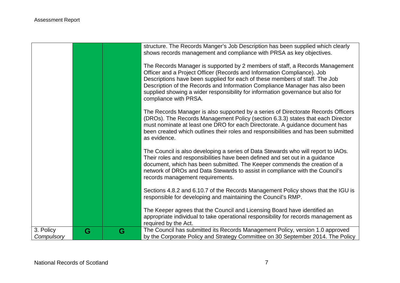|                         |   |   | structure. The Records Manger's Job Description has been supplied which clearly<br>shows records management and compliance with PRSA as key objectives.<br>The Records Manager is supported by 2 members of staff, a Records Management<br>Officer and a Project Officer (Records and Information Compliance). Job<br>Descriptions have been supplied for each of these members of staff. The Job<br>Description of the Records and Information Compliance Manager has also been<br>supplied showing a wider responsibility for information governance but also for<br>compliance with PRSA. |
|-------------------------|---|---|----------------------------------------------------------------------------------------------------------------------------------------------------------------------------------------------------------------------------------------------------------------------------------------------------------------------------------------------------------------------------------------------------------------------------------------------------------------------------------------------------------------------------------------------------------------------------------------------|
|                         |   |   | The Records Manager is also supported by a series of Directorate Records Officers<br>(DROs). The Records Management Policy (section 6.3.3) states that each Director<br>must nominate at least one DRO for each Directorate. A guidance document has<br>been created which outlines their roles and responsibilities and has been submitted<br>as evidence.                                                                                                                                                                                                                                  |
|                         |   |   | The Council is also developing a series of Data Stewards who will report to IAOs.<br>Their roles and responsibilities have been defined and set out in a guidance<br>document, which has been submitted. The Keeper commends the creation of a<br>network of DROs and Data Stewards to assist in compliance with the Council's<br>records management requirements.                                                                                                                                                                                                                           |
|                         |   |   | Sections 4.8.2 and 6.10.7 of the Records Management Policy shows that the IGU is<br>responsible for developing and maintaining the Council's RMP.                                                                                                                                                                                                                                                                                                                                                                                                                                            |
|                         |   |   | The Keeper agrees that the Council and Licensing Board have identified an<br>appropriate individual to take operational responsibility for records management as<br>required by the Act.                                                                                                                                                                                                                                                                                                                                                                                                     |
| 3. Policy<br>Compulsory | G | G | The Council has submitted its Records Management Policy, version 1.0 approved<br>by the Corporate Policy and Strategy Committee on 30 September 2014. The Policy                                                                                                                                                                                                                                                                                                                                                                                                                             |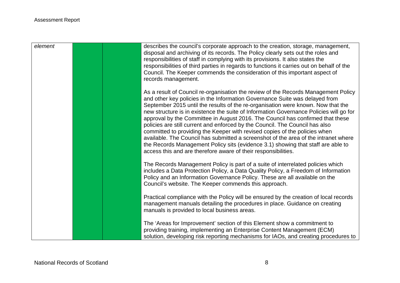| element | describes the council's corporate approach to the creation, storage, management,<br>disposal and archiving of its records. The Policy clearly sets out the roles and<br>responsibilities of staff in complying with its provisions. It also states the<br>responsibilities of third parties in regards to functions it carries out on behalf of the<br>Council. The Keeper commends the consideration of this important aspect of<br>records management.                                                                                                                                                                                                                                                                                                                                                                                     |
|---------|----------------------------------------------------------------------------------------------------------------------------------------------------------------------------------------------------------------------------------------------------------------------------------------------------------------------------------------------------------------------------------------------------------------------------------------------------------------------------------------------------------------------------------------------------------------------------------------------------------------------------------------------------------------------------------------------------------------------------------------------------------------------------------------------------------------------------------------------|
|         | As a result of Council re-organisation the review of the Records Management Policy<br>and other key policies in the Information Governance Suite was delayed from<br>September 2015 until the results of the re-organisation were known. Now that the<br>new structure is in existence the suite of Information Governance Policies will go for<br>approval by the Committee in August 2016. The Council has confirmed that these<br>policies are still current and enforced by the Council. The Council has also<br>committed to providing the Keeper with revised copies of the policies when<br>available. The Council has submitted a screenshot of the area of the intranet where<br>the Records Management Policy sits (evidence 3.1) showing that staff are able to<br>access this and are therefore aware of their responsibilities. |
|         | The Records Management Policy is part of a suite of interrelated policies which<br>includes a Data Protection Policy, a Data Quality Policy, a Freedom of Information<br>Policy and an Information Governance Policy. These are all available on the<br>Council's website. The Keeper commends this approach.                                                                                                                                                                                                                                                                                                                                                                                                                                                                                                                                |
|         | Practical compliance with the Policy will be ensured by the creation of local records<br>management manuals detailing the procedures in place. Guidance on creating<br>manuals is provided to local business areas.                                                                                                                                                                                                                                                                                                                                                                                                                                                                                                                                                                                                                          |
|         | The 'Areas for Improvement' section of this Element show a commitment to<br>providing training, implementing an Enterprise Content Management (ECM)<br>solution, developing risk reporting mechanisms for IAOs, and creating procedures to                                                                                                                                                                                                                                                                                                                                                                                                                                                                                                                                                                                                   |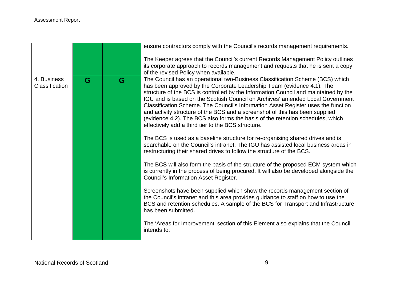|                               |   |   | ensure contractors comply with the Council's records management requirements.                                                                                                                                                                                                                                                                                                                                                                                                                                                                                                                                                                                                                                                                                                                                                                                                                                                                                                                                                                                                                                                                                                                                                                                                                                                                                                                                                                                                                                       |
|-------------------------------|---|---|---------------------------------------------------------------------------------------------------------------------------------------------------------------------------------------------------------------------------------------------------------------------------------------------------------------------------------------------------------------------------------------------------------------------------------------------------------------------------------------------------------------------------------------------------------------------------------------------------------------------------------------------------------------------------------------------------------------------------------------------------------------------------------------------------------------------------------------------------------------------------------------------------------------------------------------------------------------------------------------------------------------------------------------------------------------------------------------------------------------------------------------------------------------------------------------------------------------------------------------------------------------------------------------------------------------------------------------------------------------------------------------------------------------------------------------------------------------------------------------------------------------------|
|                               |   |   | The Keeper agrees that the Council's current Records Management Policy outlines<br>its corporate approach to records management and requests that he is sent a copy<br>of the revised Policy when available.                                                                                                                                                                                                                                                                                                                                                                                                                                                                                                                                                                                                                                                                                                                                                                                                                                                                                                                                                                                                                                                                                                                                                                                                                                                                                                        |
| 4. Business<br>Classification | G | G | The Council has an operational two-Business Classification Scheme (BCS) which<br>has been approved by the Corporate Leadership Team (evidence 4.1). The<br>structure of the BCS is controlled by the Information Council and maintained by the<br>IGU and is based on the Scottish Council on Archives' amended Local Government<br>Classification Scheme. The Council's Information Asset Register uses the function<br>and activity structure of the BCS and a screenshot of this has been supplied<br>(evidence 4.2). The BCS also forms the basis of the retention schedules, which<br>effectively add a third tier to the BCS structure.<br>The BCS is used as a baseline structure for re-organising shared drives and is<br>searchable on the Council's intranet. The IGU has assisted local business areas in<br>restructuring their shared drives to follow the structure of the BCS.<br>The BCS will also form the basis of the structure of the proposed ECM system which<br>is currently in the process of being procured. It will also be developed alongside the<br><b>Council's Information Asset Register.</b><br>Screenshots have been supplied which show the records management section of<br>the Council's intranet and this area provides guidance to staff on how to use the<br>BCS and retention schedules. A sample of the BCS for Transport and Infrastructure<br>has been submitted.<br>The 'Areas for Improvement' section of this Element also explains that the Council<br>intends to: |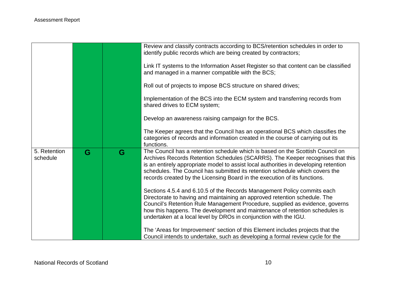|                          |   |   | Review and classify contracts according to BCS/retention schedules in order to<br>identify public records which are being created by contractors;                                                                                                                                                                                                                                                                     |
|--------------------------|---|---|-----------------------------------------------------------------------------------------------------------------------------------------------------------------------------------------------------------------------------------------------------------------------------------------------------------------------------------------------------------------------------------------------------------------------|
|                          |   |   | Link IT systems to the Information Asset Register so that content can be classified<br>and managed in a manner compatible with the BCS;                                                                                                                                                                                                                                                                               |
|                          |   |   | Roll out of projects to impose BCS structure on shared drives;                                                                                                                                                                                                                                                                                                                                                        |
|                          |   |   | Implementation of the BCS into the ECM system and transferring records from<br>shared drives to ECM system;                                                                                                                                                                                                                                                                                                           |
|                          |   |   | Develop an awareness raising campaign for the BCS.                                                                                                                                                                                                                                                                                                                                                                    |
|                          |   |   | The Keeper agrees that the Council has an operational BCS which classifies the<br>categories of records and information created in the course of carrying out its<br>functions.                                                                                                                                                                                                                                       |
| 5. Retention<br>schedule | G | G | The Council has a retention schedule which is based on the Scottish Council on<br>Archives Records Retention Schedules (SCARRS). The Keeper recognises that this<br>is an entirely appropriate model to assist local authorities in developing retention<br>schedules. The Council has submitted its retention schedule which covers the<br>records created by the Licensing Board in the execution of its functions. |
|                          |   |   | Sections 4.5.4 and 6.10.5 of the Records Management Policy commits each<br>Directorate to having and maintaining an approved retention schedule. The<br>Council's Retention Rule Management Procedure, supplied as evidence, governs<br>how this happens. The development and maintenance of retention schedules is<br>undertaken at a local level by DROs in conjunction with the IGU.                               |
|                          |   |   | The 'Areas for Improvement' section of this Element includes projects that the<br>Council intends to undertake, such as developing a formal review cycle for the                                                                                                                                                                                                                                                      |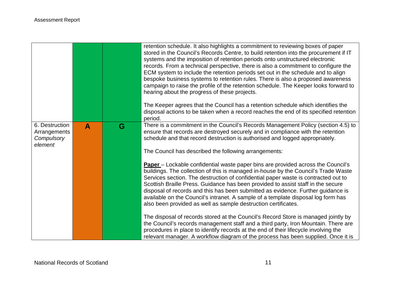|                                                         |   |   | retention schedule. It also highlights a commitment to reviewing boxes of paper<br>stored in the Council's Records Centre, to build retention into the procurement if IT<br>systems and the imposition of retention periods onto unstructured electronic<br>records. From a technical perspective, there is also a commitment to configure the<br>ECM system to include the retention periods set out in the schedule and to align<br>bespoke business systems to retention rules. There is also a proposed awareness<br>campaign to raise the profile of the retention schedule. The Keeper looks forward to<br>hearing about the progress of these projects.<br>The Keeper agrees that the Council has a retention schedule which identifies the<br>disposal actions to be taken when a record reaches the end of its specified retention<br>period.                                                                                                                                                    |
|---------------------------------------------------------|---|---|-----------------------------------------------------------------------------------------------------------------------------------------------------------------------------------------------------------------------------------------------------------------------------------------------------------------------------------------------------------------------------------------------------------------------------------------------------------------------------------------------------------------------------------------------------------------------------------------------------------------------------------------------------------------------------------------------------------------------------------------------------------------------------------------------------------------------------------------------------------------------------------------------------------------------------------------------------------------------------------------------------------|
| 6. Destruction<br>Arrangements<br>Compulsory<br>element | A | G | There is a commitment in the Council's Records Management Policy (section 4.5) to<br>ensure that records are destroyed securely and in compliance with the retention<br>schedule and that record destruction is authorised and logged appropriately.<br>The Council has described the following arrangements:<br><b>Paper</b> – Lockable confidential waste paper bins are provided across the Council's<br>buildings. The collection of this is managed in-house by the Council's Trade Waste<br>Services section. The destruction of confidential paper waste is contracted out to<br>Scottish Braille Press. Guidance has been provided to assist staff in the secure<br>disposal of records and this has been submitted as evidence. Further guidance is<br>available on the Council's intranet. A sample of a template disposal log form has<br>also been provided as well as sample destruction certificates.<br>The disposal of records stored at the Council's Record Store is managed jointly by |
|                                                         |   |   | the Council's records management staff and a third party, Iron Mountain. There are<br>procedures in place to identify records at the end of their lifecycle involving the<br>relevant manager. A workflow diagram of the process has been supplied. Once it is                                                                                                                                                                                                                                                                                                                                                                                                                                                                                                                                                                                                                                                                                                                                            |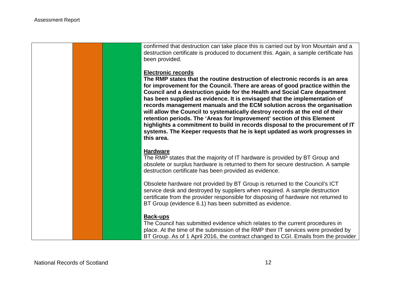confirmed that destruction can take place this is carried out by Iron Mountain and a destruction certificate is produced to document this. Again, a sample certificate has been provided.

#### **Electronic records**

**The RMP states that the routine destruction of electronic records is an area for improvement for the Council. There are areas of good practice within the Council and a destruction guide for the Health and Social Care department has been supplied as evidence. It is envisaged that the implementation of records management manuals and the ECM solution across the organisation will allow the Council to systematically destroy records at the end of their retention periods. The 'Areas for Improvement' section of this Element highlights a commitment to build in records disposal to the procurement of IT systems. The Keeper requests that he is kept updated as work progresses in this area.**

#### **Hardware**

The RMP states that the majority of IT hardware is provided by BT Group and obsolete or surplus hardware is returned to them for secure destruction. A sample destruction certificate has been provided as evidence.

Obsolete hardware not provided by BT Group is returned to the Council's ICT service desk and destroyed by suppliers when required. A sample destruction certificate from the provider responsible for disposing of hardware not returned to BT Group (evidence 6.1) has been submitted as evidence.

#### **Back-ups**

The Council has submitted evidence which relates to the current procedures in place. At the time of the submission of the RMP their IT services were provided by BT Group. As of 1 April 2016, the contract changed to CGI. Emails from the provider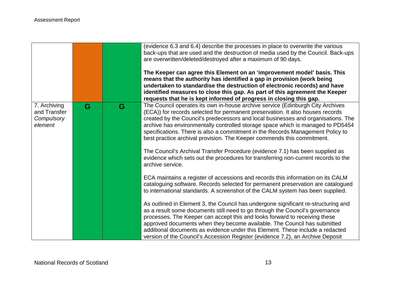|                                                       |   |   | (evidence 6.3 and 6.4) describe the processes in place to overwrite the various<br>back-ups that are used and the destruction of media used by the Council. Back-ups<br>are overwritten/deleted/destroyed after a maximum of 90 days.<br>The Keeper can agree this Element on an 'improvement model' basis. This<br>means that the authority has identified a gap in provision (work being<br>undertaken to standardise the destruction of electronic records) and have<br>identified measures to close this gap. As part of this agreement the Keeper<br>requests that he is kept informed of progress in closing this gap. |
|-------------------------------------------------------|---|---|------------------------------------------------------------------------------------------------------------------------------------------------------------------------------------------------------------------------------------------------------------------------------------------------------------------------------------------------------------------------------------------------------------------------------------------------------------------------------------------------------------------------------------------------------------------------------------------------------------------------------|
| 7. Archiving<br>and Transfer<br>Compulsory<br>element | G | G | The Council operates its own in-house archive service (Edinburgh City Archives<br>(ECA)) for records selected for permanent preservation. It also houses records<br>created by the Council's predecessors and local businesses and organisations. The<br>archive has environmentally controlled storage space which is managed to PD5454<br>specifications. There is also a commitment in the Records Management Policy to<br>best practice archival provision. The Keeper commends this commitment.                                                                                                                         |
|                                                       |   |   | The Council's Archival Transfer Procedure (evidence 7.1) has been supplied as<br>evidence which sets out the procedures for transferring non-current records to the<br>archive service.                                                                                                                                                                                                                                                                                                                                                                                                                                      |
|                                                       |   |   | ECA maintains a register of accessions and records this information on its CALM<br>cataloguing software. Records selected for permanent preservation are catalogued<br>to international standards. A screenshot of the CALM system has been supplied.                                                                                                                                                                                                                                                                                                                                                                        |
|                                                       |   |   | As outlined in Element 3, the Council has undergone significant re-structuring and<br>as a result some documents still need to go through the Council's governance<br>processes. The Keeper can accept this and looks forward to receiving these<br>approved documents when they become available. The Council has submitted<br>additional documents as evidence under this Element. These include a redacted<br>version of the Council's Accession Register (evidence 7.2), an Archive Deposit                                                                                                                              |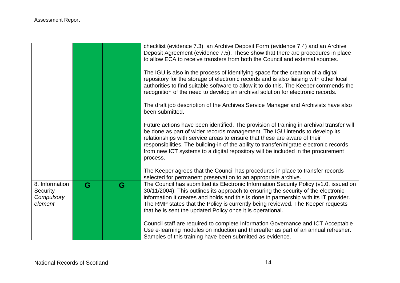|                                                     |   |   | checklist (evidence 7.3), an Archive Deposit Form (evidence 7.4) and an Archive<br>Deposit Agreement (evidence 7.5). These show that there are procedures in place<br>to allow ECA to receive transfers from both the Council and external sources.<br>The IGU is also in the process of identifying space for the creation of a digital<br>repository for the storage of electronic records and is also liaising with other local<br>authorities to find suitable software to allow it to do this. The Keeper commends the<br>recognition of the need to develop an archival solution for electronic records. |
|-----------------------------------------------------|---|---|----------------------------------------------------------------------------------------------------------------------------------------------------------------------------------------------------------------------------------------------------------------------------------------------------------------------------------------------------------------------------------------------------------------------------------------------------------------------------------------------------------------------------------------------------------------------------------------------------------------|
|                                                     |   |   | The draft job description of the Archives Service Manager and Archivists have also<br>been submitted.                                                                                                                                                                                                                                                                                                                                                                                                                                                                                                          |
|                                                     |   |   | Future actions have been identified. The provision of training in archival transfer will<br>be done as part of wider records management. The IGU intends to develop its<br>relationships with service areas to ensure that these are aware of their<br>responsibilities. The building-in of the ability to transfer/migrate electronic records<br>from new ICT systems to a digital repository will be included in the procurement<br>process.                                                                                                                                                                 |
|                                                     |   |   | The Keeper agrees that the Council has procedures in place to transfer records<br>selected for permanent preservation to an appropriate archive.                                                                                                                                                                                                                                                                                                                                                                                                                                                               |
| 8. Information<br>Security<br>Compulsory<br>element | G | G | The Council has submitted its Electronic Information Security Policy (v1.0, issued on<br>30/11/2004). This outlines its approach to ensuring the security of the electronic<br>information it creates and holds and this is done in partnership with its IT provider.<br>The RMP states that the Policy is currently being reviewed. The Keeper requests<br>that he is sent the updated Policy once it is operational.                                                                                                                                                                                         |
|                                                     |   |   | Council staff are required to complete Information Governance and ICT Acceptable<br>Use e-learning modules on induction and thereafter as part of an annual refresher.<br>Samples of this training have been submitted as evidence.                                                                                                                                                                                                                                                                                                                                                                            |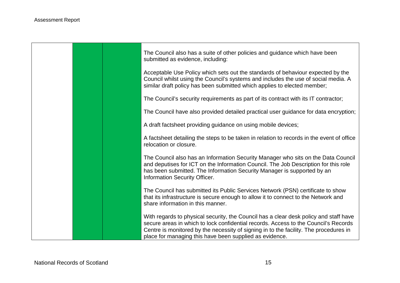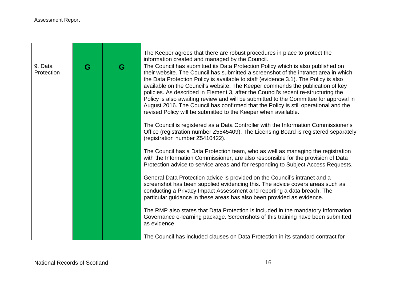|                       |   |   | The Keeper agrees that there are robust procedures in place to protect the<br>information created and managed by the Council.                                                                                                                                                                                                                                                                                                                                                                                                                                                                                                                                                           |
|-----------------------|---|---|-----------------------------------------------------------------------------------------------------------------------------------------------------------------------------------------------------------------------------------------------------------------------------------------------------------------------------------------------------------------------------------------------------------------------------------------------------------------------------------------------------------------------------------------------------------------------------------------------------------------------------------------------------------------------------------------|
| 9. Data<br>Protection | G | G | The Council has submitted its Data Protection Policy which is also published on<br>their website. The Council has submitted a screenshot of the intranet area in which<br>the Data Protection Policy is available to staff (evidence 3.1). The Policy is also<br>available on the Council's website. The Keeper commends the publication of key<br>policies. As described in Element 3, after the Council's recent re-structuring the<br>Policy is also awaiting review and will be submitted to the Committee for approval in<br>August 2016. The Council has confirmed that the Policy is still operational and the<br>revised Policy will be submitted to the Keeper when available. |
|                       |   |   | The Council is registered as a Data Controller with the Information Commissioner's<br>Office (registration number Z5545409). The Licensing Board is registered separately<br>(registration number Z5410422).                                                                                                                                                                                                                                                                                                                                                                                                                                                                            |
|                       |   |   | The Council has a Data Protection team, who as well as managing the registration<br>with the Information Commissioner, are also responsible for the provision of Data<br>Protection advice to service areas and for responding to Subject Access Requests.                                                                                                                                                                                                                                                                                                                                                                                                                              |
|                       |   |   | General Data Protection advice is provided on the Council's intranet and a<br>screenshot has been supplied evidencing this. The advice covers areas such as<br>conducting a Privacy Impact Assessment and reporting a data breach. The<br>particular guidance in these areas has also been provided as evidence.                                                                                                                                                                                                                                                                                                                                                                        |
|                       |   |   | The RMP also states that Data Protection is included in the mandatory Information<br>Governance e-learning package. Screenshots of this training have been submitted<br>as evidence.                                                                                                                                                                                                                                                                                                                                                                                                                                                                                                    |
|                       |   |   | The Council has included clauses on Data Protection in its standard contract for                                                                                                                                                                                                                                                                                                                                                                                                                                                                                                                                                                                                        |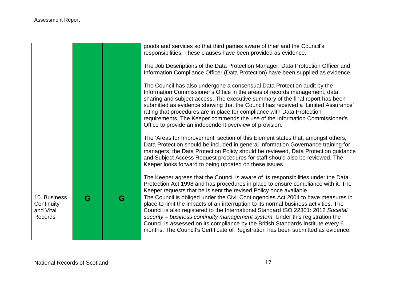|                                                    |   |   | goods and services so that third parties aware of their and the Council's<br>responsibilities. These clauses have been provided as evidence.                                                                                                                                                                                                                                                                                                                                                                                                       |
|----------------------------------------------------|---|---|----------------------------------------------------------------------------------------------------------------------------------------------------------------------------------------------------------------------------------------------------------------------------------------------------------------------------------------------------------------------------------------------------------------------------------------------------------------------------------------------------------------------------------------------------|
|                                                    |   |   | The Job Descriptions of the Data Protection Manager, Data Protection Officer and<br>Information Compliance Officer (Data Protection) have been supplied as evidence.                                                                                                                                                                                                                                                                                                                                                                               |
|                                                    |   |   | The Council has also undergone a consensual Data Protection audit by the<br>Information Commissioner's Office in the areas of records management, data<br>sharing and subject access. The executive summary of the final report has been<br>submitted as evidence showing that the Council has received a 'Limited Assurance'<br>rating that procedures are in place for compliance with Data Protection<br>requirements. The Keeper commends the use of the Information Commissioner's<br>Office to provide an independent overview of provision. |
|                                                    |   |   | The 'Areas for Improvement' section of this Element states that, amongst others,<br>Data Protection should be included in general Information Governance training for<br>managers, the Data Protection Policy should be reviewed, Data Protection guidance<br>and Subject Access Request procedures for staff should also be reviewed. The<br>Keeper looks forward to being updated on these issues.                                                                                                                                               |
|                                                    |   |   | The Keeper agrees that the Council is aware of its responsibilities under the Data<br>Protection Act 1998 and has procedures in place to ensure compliance with it. The<br>Keeper requests that he is sent the revised Policy once available.                                                                                                                                                                                                                                                                                                      |
| 10. Business<br>Continuity<br>and Vital<br>Records | G | G | The Council is obliged under the Civil Contingencies Act 2004 to have measures in<br>place to limit the impacts of an interruption to its normal business activities. The<br>Council is also registered to the International Standard ISO 22301: 2012 Societal<br>security – business continuity management system. Under this registration the<br>Council is assessed on its compliance by the British Standards Institute every 6<br>months. The Council's Certificate of Registration has been submitted as evidence.                           |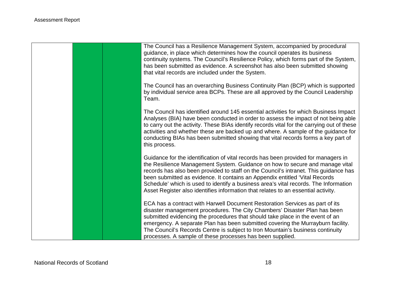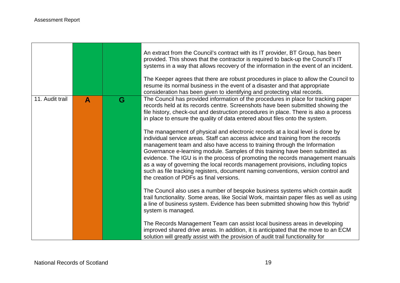$\Gamma$ 

|                 |              |   | An extract from the Council's contract with its IT provider, BT Group, has been<br>provided. This shows that the contractor is required to back-up the Council's IT<br>systems in a way that allows recovery of the information in the event of an incident.<br>The Keeper agrees that there are robust procedures in place to allow the Council to<br>resume its normal business in the event of a disaster and that appropriate<br>consideration has been given to identifying and protecting vital records.                                                                                                                      |
|-----------------|--------------|---|-------------------------------------------------------------------------------------------------------------------------------------------------------------------------------------------------------------------------------------------------------------------------------------------------------------------------------------------------------------------------------------------------------------------------------------------------------------------------------------------------------------------------------------------------------------------------------------------------------------------------------------|
| 11. Audit trail | $\mathbf{A}$ | G | The Council has provided information of the procedures in place for tracking paper<br>records held at its records centre. Screenshots have been submitted showing the<br>file history, check-out and destruction procedures in place. There is also a process<br>in place to ensure the quality of data entered about files onto the system.                                                                                                                                                                                                                                                                                        |
|                 |              |   | The management of physical and electronic records at a local level is done by<br>individual service areas. Staff can access advice and training from the records<br>management team and also have access to training through the Information<br>Governance e-learning module. Samples of this training have been submitted as<br>evidence. The IGU is in the process of promoting the records management manuals<br>as a way of governing the local records management provisions, including topics<br>such as file tracking registers, document naming conventions, version control and<br>the creation of PDFs as final versions. |
|                 |              |   | The Council also uses a number of bespoke business systems which contain audit<br>trail functionality. Some areas, like Social Work, maintain paper files as well as using<br>a line of business system. Evidence has been submitted showing how this 'hybrid'<br>system is managed.                                                                                                                                                                                                                                                                                                                                                |
|                 |              |   | The Records Management Team can assist local business areas in developing<br>improved shared drive areas. In addition, it is anticipated that the move to an ECM<br>solution will greatly assist with the provision of audit trail functionality for                                                                                                                                                                                                                                                                                                                                                                                |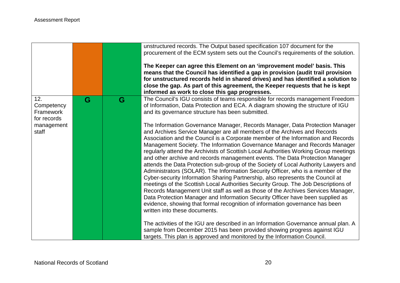|                                               |   |   | unstructured records. The Output based specification 107 document for the<br>procurement of the ECM system sets out the Council's requirements of the solution.<br>The Keeper can agree this Element on an 'improvement model' basis. This<br>means that the Council has identified a gap in provision (audit trail provision<br>for unstructured records held in shared drives) and has identified a solution to<br>close the gap. As part of this agreement, the Keeper requests that he is kept<br>informed as work to close this gap progresses.                                                                                                                                                                                                                                                                                                                                                                                                                                                                                                                                                                                                                                                                                                                                                                                                                                        |
|-----------------------------------------------|---|---|---------------------------------------------------------------------------------------------------------------------------------------------------------------------------------------------------------------------------------------------------------------------------------------------------------------------------------------------------------------------------------------------------------------------------------------------------------------------------------------------------------------------------------------------------------------------------------------------------------------------------------------------------------------------------------------------------------------------------------------------------------------------------------------------------------------------------------------------------------------------------------------------------------------------------------------------------------------------------------------------------------------------------------------------------------------------------------------------------------------------------------------------------------------------------------------------------------------------------------------------------------------------------------------------------------------------------------------------------------------------------------------------|
| 12.<br>Competency<br>Framework<br>for records | G | G | The Council's IGU consists of teams responsible for records management Freedom<br>of Information, Data Protection and ECA. A diagram showing the structure of IGU<br>and its governance structure has been submitted.                                                                                                                                                                                                                                                                                                                                                                                                                                                                                                                                                                                                                                                                                                                                                                                                                                                                                                                                                                                                                                                                                                                                                                       |
| management<br>staff                           |   |   | The Information Governance Manager, Records Manager, Data Protection Manager<br>and Archives Service Manager are all members of the Archives and Records<br>Association and the Council is a Corporate member of the Information and Records<br>Management Society. The Information Governance Manager and Records Manager<br>regularly attend the Archivists of Scottish Local Authorities Working Group meetings<br>and other archive and records management events. The Data Protection Manager<br>attends the Data Protection sub-group of the Society of Local Authority Lawyers and<br>Administrators (SOLAR). The Information Security Officer, who is a member of the<br>Cyber-security Information Sharing Partnership, also represents the Council at<br>meetings of the Scottish Local Authorities Security Group. The Job Descriptions of<br>Records Management Unit staff as well as those of the Archives Services Manager,<br>Data Protection Manager and Information Security Officer have been supplied as<br>evidence, showing that formal recognition of information governance has been<br>written into these documents.<br>The activities of the IGU are described in an Information Governance annual plan. A<br>sample from December 2015 has been provided showing progress against IGU<br>targets. This plan is approved and monitored by the Information Council. |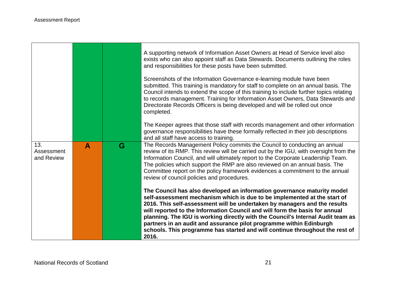- 17

|                                 |              |   | A supporting network of Information Asset Owners at Head of Service level also<br>exists who can also appoint staff as Data Stewards. Documents outlining the roles<br>and responsibilities for these posts have been submitted.                                                                                                                                                                                                                                                                                                                                   |
|---------------------------------|--------------|---|--------------------------------------------------------------------------------------------------------------------------------------------------------------------------------------------------------------------------------------------------------------------------------------------------------------------------------------------------------------------------------------------------------------------------------------------------------------------------------------------------------------------------------------------------------------------|
|                                 |              |   | Screenshots of the Information Governance e-learning module have been<br>submitted. This training is mandatory for staff to complete on an annual basis. The<br>Council intends to extend the scope of this training to include further topics relating<br>to records management. Training for Information Asset Owners, Data Stewards and<br>Directorate Records Officers is being developed and will be rolled out once<br>completed.                                                                                                                            |
|                                 |              |   | The Keeper agrees that those staff with records management and other information<br>governance responsibilities have these formally reflected in their job descriptions<br>and all staff have access to training.                                                                                                                                                                                                                                                                                                                                                  |
| 13.<br>Assessment<br>and Review | $\mathbf{A}$ | G | The Records Management Policy commits the Council to conducting an annual<br>review of its RMP. This review will be carried out by the IGU, with oversight from the<br>Information Council, and will ultimately report to the Corporate Leadership Team.<br>The policies which support the RMP are also reviewed on an annual basis. The<br>Committee report on the policy framework evidences a commitment to the annual<br>review of council policies and procedures.                                                                                            |
|                                 |              |   | The Council has also developed an information governance maturity model<br>self-assessment mechanism which is due to be implemented at the start of<br>2016. This self-assessment will be undertaken by managers and the results<br>will reported to the Information Council and will form the basis for annual<br>planning. The IGU is working directly with the Council's Internal Audit team as<br>partners in an audit and assurance pilot programme within Edinburgh<br>schools. This programme has started and will continue throughout the rest of<br>2016. |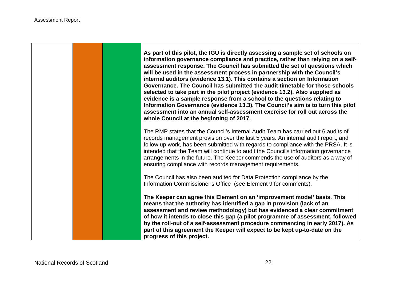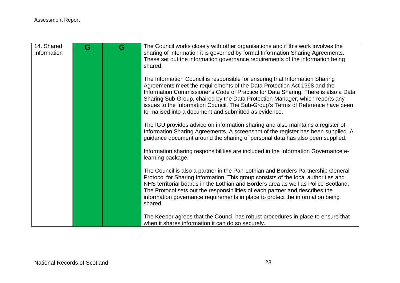| 14. Shared<br>Information | G | G | The Council works closely with other organisations and if this work involves the<br>sharing of information it is governed by formal Information Sharing Agreements.<br>These set out the information governance requirements of the information being<br>shared.                                                                                                                                                                                                           |
|---------------------------|---|---|----------------------------------------------------------------------------------------------------------------------------------------------------------------------------------------------------------------------------------------------------------------------------------------------------------------------------------------------------------------------------------------------------------------------------------------------------------------------------|
|                           |   |   | The Information Council is responsible for ensuring that Information Sharing<br>Agreements meet the requirements of the Data Protection Act 1998 and the<br>Information Commissioner's Code of Practice for Data Sharing. There is also a Data<br>Sharing Sub-Group, chaired by the Data Protection Manager, which reports any<br>issues to the Information Council. The Sub-Group's Terms of Reference have been<br>formalised into a document and submitted as evidence. |
|                           |   |   | The IGU provides advice on information sharing and also maintains a register of<br>Information Sharing Agreements. A screenshot of the register has been supplied. A<br>guidance document around the sharing of personal data has also been supplied.                                                                                                                                                                                                                      |
|                           |   |   | Information sharing responsibilities are included in the Information Governance e-<br>learning package.                                                                                                                                                                                                                                                                                                                                                                    |
|                           |   |   | The Council is also a partner in the Pan-Lothian and Borders Partnership General<br>Protocol for Sharing Information. This group consists of the local authorities and<br>NHS territorial boards in the Lothian and Borders area as well as Police Scotland.<br>The Protocol sets out the responsibilities of each partner and describes the<br>information governance requirements in place to protect the information being<br>shared.                                   |
|                           |   |   | The Keeper agrees that the Council has robust procedures in place to ensure that<br>when it shares information it can do so securely.                                                                                                                                                                                                                                                                                                                                      |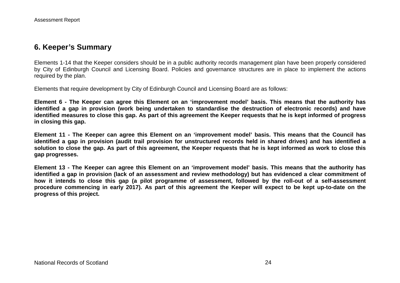## **6. Keeper's Summary**

Elements 1-14 that the Keeper considers should be in a public authority records management plan have been properly considered by City of Edinburgh Council and Licensing Board. Policies and governance structures are in place to implement the actions required by the plan.

Elements that require development by City of Edinburgh Council and Licensing Board are as follows:

**Element 6 - The Keeper can agree this Element on an 'improvement model' basis. This means that the authority has identified a gap in provision (work being undertaken to standardise the destruction of electronic records) and have identified measures to close this gap. As part of this agreement the Keeper requests that he is kept informed of progress in closing this gap.**

**Element 11 - The Keeper can agree this Element on an 'improvement model' basis. This means that the Council has identified a gap in provision (audit trail provision for unstructured records held in shared drives) and has identified a solution to close the gap. As part of this agreement, the Keeper requests that he is kept informed as work to close this gap progresses.**

**Element 13 - The Keeper can agree this Element on an 'improvement model' basis. This means that the authority has identified a gap in provision (lack of an assessment and review methodology) but has evidenced a clear commitment of how it intends to close this gap (a pilot programme of assessment, followed by the roll-out of a self-assessment procedure commencing in early 2017). As part of this agreement the Keeper will expect to be kept up-to-date on the progress of this project.**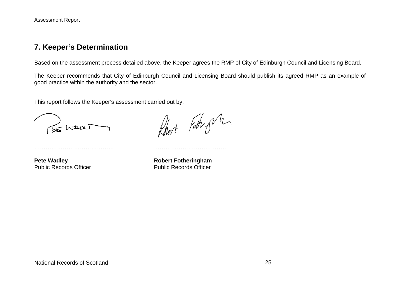## **7. Keeper's Determination**

Based on the assessment process detailed above, the Keeper agrees the RMP of City of Edinburgh Council and Licensing Board.

The Keeper recommends that City of Edinburgh Council and Licensing Board should publish its agreed RMP as an example of good practice within the authority and the sector.

This report follows the Keeper's assessment carried out by,

…………………………………… …………………………………

Robert Fathry M

**Pete Wadley**<br> **Public Records Officer**<br> **Robert Fotheringham**<br> **Public Records Officer** Public Records Officer